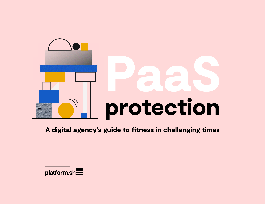

A digital agency's guide to fitness in challenging times

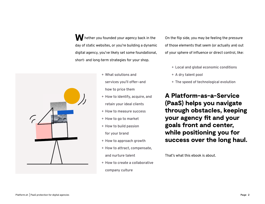W hether you founded your agency back in the day of static websites, or you're building a dynamic digital agency, you've likely set some foundational, short- and long-term strategies for your shop.

- + **What solutions and services you'll offer—and how to price them**
- + **How to identify, acquire, and retain your ideal clients**
- + **How to measure success**
- + **How to go to market**
- + **How to build passion for your brand**
- + **How to approach growth**
- + **How to attract, compensate, and nurture talent**
- + **How to create a collaborative company culture**



On the flip side, you may be feeling the pressure of those elements that seem (or actually *are*) out of your sphere of influence or direct control, like:

+ **Local and global economic conditions** + **A dry talent pool**  + **The speed of technological evolution**



A Platform-as-a-Service (PaaS) helps you navigate through obstacles, keeping your agency fit and your goals front and center, while positioning you for success over the long haul.

That's what this ebook is about.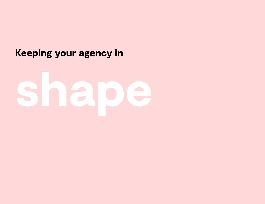# Keeping your agency in

# shape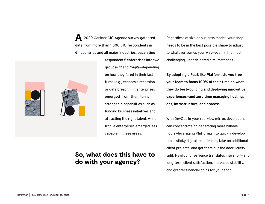A 2020 Gartner CIO Agenda survey gathered data from more than 1,000 CIO respondents in 64 countries and all major industries, separating



respondents' enterprises into two groups—*fit* and *fragile*—depending on how they fared in their last turns (e.g., economic recession or data breach). Fit enterprises emerged from their turns stronger in capabilities such as funding business initiatives and attracting the right talent, while fragile enterprises emerged less capable in these areas**. 1** 

### So, what does this have to do with your agency?

Regardless of size or business model, your shop needs to be in the best possible shape to adjust to whatever comes your way—even in the most challenging, unanticipated circumstances.

**By adopting a PaaS like Platform.sh, you free your team to focus 100% of their time on what they do best—building and deploying innovative experiences—and zero time managing hosting, ops, infrastructure, and process.** 

With DevOps in your rearview mirror, developers can concentrate on generating more billable hours—leveraging Platform.sh to quickly develop those sticky digital experiences, take on additional client projects, and get them out the door licketysplit. Newfound resilience translates into short- and long-term client satisfaction, increased stability, and greater financial gains for your shop.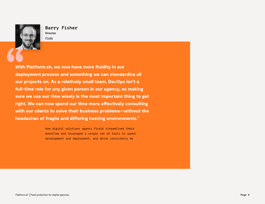With Platform.sh, we now have more fluidity in our deployment process and something we can standardize all our projects on. As a relatively small team, DevOps isn't a full-time role for any given person in our agency, so making sure we use our time wisely is the most important thing to get right. We can now spend our time more effectively consulting with our clients to solve their business problems—without the headaches of fragile and differing hosting environments."

> [How digital solutions agency Pivale streamlined their](https://platform.sh/customers/stories/pivale-reduces-devops-on-platformsh-paas/)  [workflow and leveraged a single set of tools to speed](https://platform.sh/customers/stories/pivale-reduces-devops-on-platformsh-paas/)  [development and deployment, and drive consistency](https://platform.sh/customers/stories/pivale-reduces-devops-on-platformsh-paas/) >>



**Barry Fisher Director** [Pivale](https://www.pivale.co)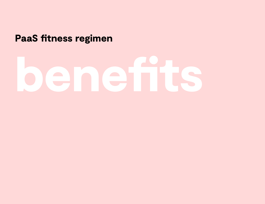## PaaS fitness regimen

# benefits

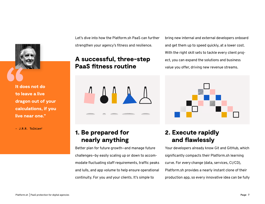Let's dive into how the Platform.sh PaaS can further strengthen your agency's fitness and resilience.

### A successful, three-step PaaS fitness routine



### 1. Be prepared for nearly anything

Better plan for future growth—and manage future challenges—by easily scaling up or down to accommodate fluctuating staff requirements, traffic peaks and lulls, and app volume to help ensure operational continuity. For you *and* your clients. It's simple to

bring new internal and external developers onboard and get them up to speed quickly, at a lower cost. With the right skill sets to tackle every client project, you can expand the solutions and business value you offer, driving new revenue streams.



## 2. Execute rapidly and flawlessly

Your developers already know Git and GitHub, which significantly compacts their Platform.sh learning curve. For *every* change (data, services, CI/CD), Platform.sh provides a nearly instant clone of their production app, so every innovative idea can be fully



It does not do to leave a live dragon out of your calculations, if you live near one."

**– J.R.R. Tolkien2**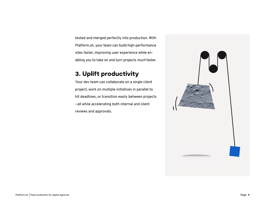tested and merged perfectly into production. With Platform.sh, your team can build high-performance sites faster, improving user experience while enabling you to take on and turn projects *much* faster.

### 3. Uplift productivity

Your dev team can collaborate on a single client project, work on multiple initiatives in parallel to hit deadlines, or transition easily between projects —all while accelerating both internal and client reviews and approvals.

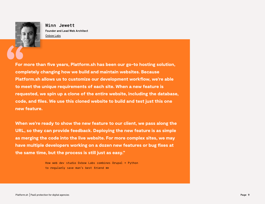For more than five years, Platform.sh has been our go-to hosting solution, completely changing how we build and maintain websites. Because Platform.sh allows us to customize our development workflow, we're able to meet the unique requirements of each site. When a new feature is requested, we spin up a clone of the entire website, including the database, code, and files. We use this cloned website to build and test just this one new feature.

When we're ready to show the new feature to our client, we pass along the URL, so they can provide feedback. Deploying the new feature is as simple as merging the code into the live website. For more complex sites, we may have multiple developers working on a dozen new features or bug fixes at the same time, but the process is still just as easy."

> [How web dev studio Oxbow Labs combines Drupal + Python](https://platform.sh/customers/stories/drupal-python-platformsh-oxbow-labs/)  [to regularly save man's best friend](https://platform.sh/customers/stories/drupal-python-platformsh-oxbow-labs/) [>>](https://platform.sh/customers/stories/drupal-python-platformsh-oxbow-labs/)



**Winn Jewett Founder and Lead Web Architect** [Oxbow Labs](https://www.oxbowlabs.com/)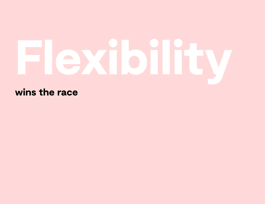# Flexibility

wins the race

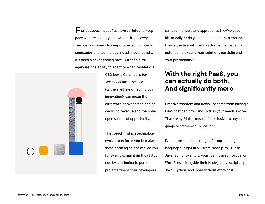For decades, most of us have sprinted to keep pace with technology innovation—from savvy, zealous consumers to deep-pocketed, non-tech companies and technology industry evangelists. It's been a never-ending race. But for digital agencies, the ability to adapt to what PebblePost



CEO Lewis Gersh calls *the velocity of obsolescence* (*or* the shelf life of technology innovation) $3$  can mean the difference between flatlined or declining revenue and the wideopen spaces of opportunity.

The speed in which technology evolves can force you to make some challenging choices: do you, for example, maintain the status quo by continuing to pursue projects where your developers

can use the tools and approaches they've used historically *or* do you enable the team to enhance their expertise with new platforms that have the potential to expand your solutions portfolio and your profitability?

### With the right PaaS, you can actually do both. And significantly more.

Creative freedom and flexibility come from having a PaaS that can grow and shift as your needs evolve. That's why Platform.sh isn't exclusive to any language or framework *by design*.

Rather, we support a range of programming languages—eight in all—from Node.js to PHP to Java. So, for example, your team can run Drupal or WordPress alongside their Node.js/Javascript app, Java, Python, and more without extra cost.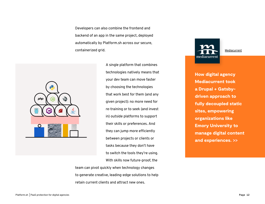Developers can also combine the frontend and backend of an app in the same project, deployed automatically by Platform.sh across our secure, containerized grid.



A single platform that combines technologies natively means that your dev team can move faster by choosing the technologies that work best for them (and any given project): no more need for re-training or to seek (and invest in) outside platforms to support their skills or preferences. And they can jump more efficiently between projects or clients or tasks because they don't have to switch the tools they're using. With skills now future-proof, the

team can pivot quickly when technology changes to generate creative, leading-edge solutions to help retain current clients and attract new ones.

[How digital agency](https://platform.sh/blog/2020/building-a-resilient-digital-foundation-with-drupal-and-gatsby/)  [Mediacurrent took](https://platform.sh/blog/2020/building-a-resilient-digital-foundation-with-drupal-and-gatsby/)  [a Drupal + Gatsby](https://platform.sh/blog/2020/building-a-resilient-digital-foundation-with-drupal-and-gatsby/)[driven approach to](https://platform.sh/blog/2020/building-a-resilient-digital-foundation-with-drupal-and-gatsby/)  [fully decoupled static](https://platform.sh/blog/2020/building-a-resilient-digital-foundation-with-drupal-and-gatsby/)  [sites, empowering](https://platform.sh/blog/2020/building-a-resilient-digital-foundation-with-drupal-and-gatsby/)  [organizations like](https://platform.sh/blog/2020/building-a-resilient-digital-foundation-with-drupal-and-gatsby/)  [Emory University to](https://platform.sh/blog/2020/building-a-resilient-digital-foundation-with-drupal-and-gatsby/)  [manage digital content](https://platform.sh/blog/2020/building-a-resilient-digital-foundation-with-drupal-and-gatsby/)  [and experiences. >>](https://platform.sh/blog/2020/building-a-resilient-digital-foundation-with-drupal-and-gatsby/)

[Mediacurrent](https://www.mediacurrent.com/)

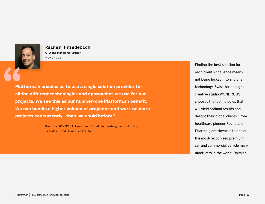Platform.sh enables us to use a single solution provider for all the different technologies and approaches we use for our projects. We see this as our number-one Platform.sh benefit. We can handle a higher volume of projects—and work on more projects concurrently—than we could before."

> [How the WONDROUS team has found technology agnosticism,](https://platform.sh/customers/stories/digital-agency-wondrous-finding-technology-agnosticism-freedom-and-lower-costs/)  [freedom, and lower costs](https://platform.sh/customers/stories/digital-agency-wondrous-finding-technology-agnosticism-freedom-and-lower-costs/) [>>](https://platform.sh/customers/stories/digital-agency-wondrous-finding-technology-agnosticism-freedom-and-lower-costs/)

Finding the best solution for each client's challenge means not being locked into any one technology. Swiss-based digital creative studio WONDROUS chooses the technologies that will yield optimal results and delight their global clients. From healthcare pioneer Roche and Pharma giant Novartis to one of the most-recognized premium car and commercial vehicle manufacturers in the world, Daimler.



### **Rainer Friederich**

**CTO and Managing Partner** [WONDROUS](https://www.wearewondrous.com/)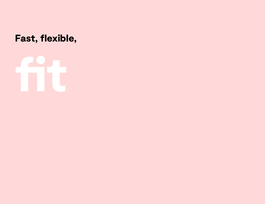## Fast, flexible,

# fit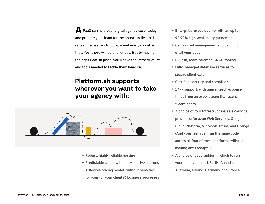A PaaS can help your digital agency excel today and prepare your team for the opportunities that reveal themselves tomorrow and every day after that. Yes, there will be challenges. But by having the right PaaS in place, you'll have the infrastructure and tools needed to tackle them head on.

## Platform.sh supports wherever you want to take your agency with:



- + **Robust, highly reliable hosting**
- + **Predictable costs—without expensive add-ons**
- + **A flexible pricing model—without penalties for your (or your clients') business successes**
- -
- 
- 
- -
	-
- 
- -
	-
- -
	-
	-
	-
	-
- -
	-

+ **Enterprise-grade uptime, with an up to 99.99% high-availability guarantee** + **Centralized management and patching of all your apps**

+ **Built-in, team-oriented CI/CD tooling**

+ **Fully managed database services to** 

**secure client data**

+ **Certified security and compliance**

+ **24x7 support, with guaranteed response** 

**times from an expert team that spans 5 continents**

+ **A choice of four Infrastructure-as-a-Service** 

**providers: Amazon Web Services, Google** 

**Cloud Platform, Microsoft Azure, and Orange** 

**(And your team can run the same code** 

**across all four of these platforms without** 

**making any changes.)**

+ **A choice of geographies in which to run** 

**your applications – US, UK, Canada,** 

**Australia, Ireland, Germany, and France**